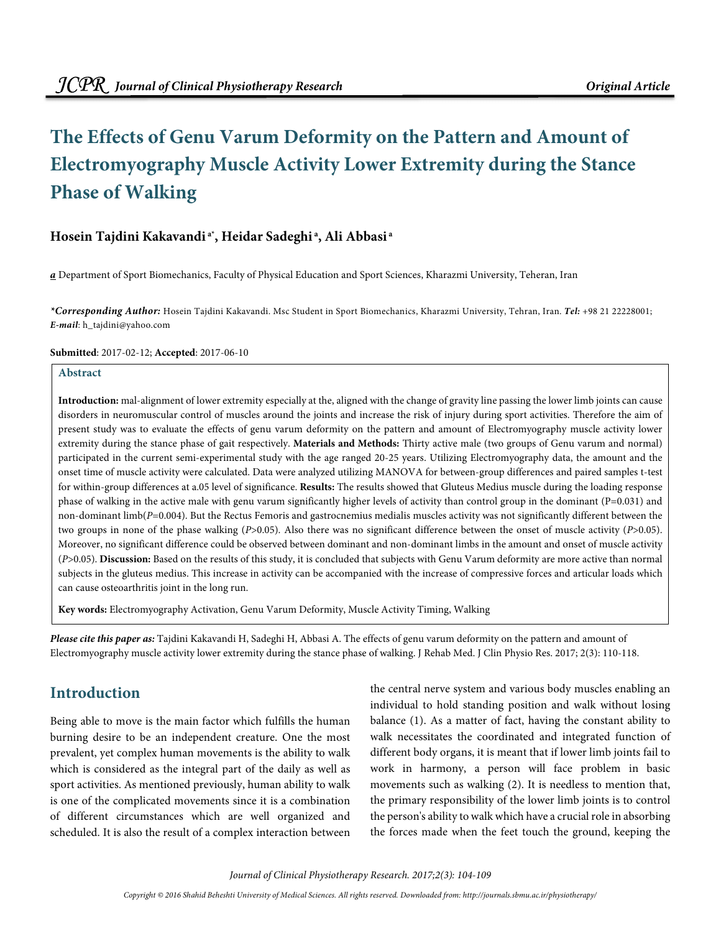# **The Effects of Genu Varum Deformity on the Pattern and Amount of Electromyography Muscle Activity Lower Extremity during the Stance Phase of Walking**

### **Hosein Tajdini Kakavandi a\*, Heidar Sadeghi<sup>a</sup>, Ali Abbasi<sup>a</sup>**

**a** Department of Sport Biomechanics, Faculty of Physical Education and Sport Sciences, Kharazmi University, Teheran, Iran

**\*Corresponding Author:** Hosein Tajdini Kakavandi. Msc Student in Sport Biomechanics, Kharazmi University, Tehran, Iran. **Tel:** +98 21 22228001; **E-mail**: h\_tajdini@yahoo.com

#### **Submitted**: 2017-02-12; **Accepted**: 2017-06-10

#### **Abstract**

**Introduction:** mal-alignment of lower extremity especially at the, aligned with the change of gravity line passing the lower limb joints can cause disorders in neuromuscular control of muscles around the joints and increase the risk of injury during sport activities. Therefore the aim of present study was to evaluate the effects of genu varum deformity on the pattern and amount of Electromyography muscle activity lower extremity during the stance phase of gait respectively. **Materials and Methods:** Thirty active male (two groups of Genu varum and normal) participated in the current semi-experimental study with the age ranged 20-25 years. Utilizing Electromyography data, the amount and the onset time of muscle activity were calculated. Data were analyzed utilizing MANOVA for between-group differences and paired samples t-test for within-group differences at a.05 level of significance. **Results:** The results showed that Gluteus Medius muscle during the loading response phase of walking in the active male with genu varum significantly higher levels of activity than control group in the dominant (P=0.031) and non-dominant limb( $P=0.004$ ). But the Rectus Femoris and gastrocnemius medialis muscles activity was not significantly different between the two groups in none of the phase walking (P>0.05). Also there was no significant difference between the onset of muscle activity (P>0.05). Moreover, no significant difference could be observed between dominant and non-dominant limbs in the amount and onset of muscle activity (P>0.05). **Discussion:** Based on the results of this study, it is concluded that subjects with Genu Varum deformity are more active than normal subjects in the gluteus medius. This increase in activity can be accompanied with the increase of compressive forces and articular loads which can cause osteoarthritis joint in the long run.

**Key words:** Electromyography Activation, Genu Varum Deformity, Muscle Activity Timing, Walking

**Please cite this paper as:** Tajdini Kakavandi H, Sadeghi H, Abbasi A. The effects of genu varum deformity on the pattern and amount of Electromyography muscle activity lower extremity during the stance phase of walking. J Rehab Med. J Clin Physio Res. 2017; 2(3): 110-118.

## **Introduction**

Being able to move is the main factor which fulfills the human burning desire to be an independent creature. One the most prevalent, yet complex human movements is the ability to walk which is considered as the integral part of the daily as well as sport activities. As mentioned previously, human ability to walk is one of the complicated movements since it is a combination of different circumstances which are well organized and scheduled. It is also the result of a complex interaction between the central nerve system and various body muscles enabling an individual to hold standing position and walk without losing balance (1). As a matter of fact, having the constant ability to walk necessitates the coordinated and integrated function of different body organs, it is meant that if lower limb joints fail to work in harmony, a person will face problem in basic movements such as walking (2). It is needless to mention that, the primary responsibility of the lower limb joints is to control the person's ability to walk which have a crucial role in absorbing the forces made when the feet touch the ground, keeping the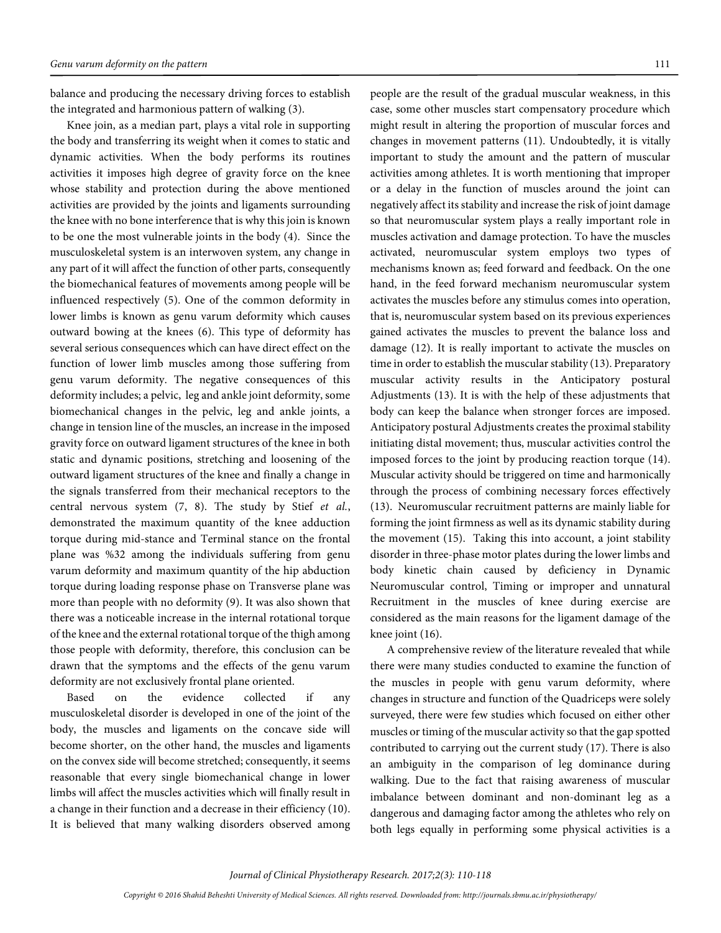balance and producing the necessary driving forces to establish the integrated and harmonious pattern of walking (3).

Knee join, as a median part, plays a vital role in supporting the body and transferring its weight when it comes to static and dynamic activities. When the body performs its routines activities it imposes high degree of gravity force on the knee whose stability and protection during the above mentioned activities are provided by the joints and ligaments surrounding the knee with no bone interference that is why this join is known to be one the most vulnerable joints in the body (4). Since the musculoskeletal system is an interwoven system, any change in any part of it will affect the function of other parts, consequently the biomechanical features of movements among people will be influenced respectively (5). One of the common deformity in lower limbs is known as genu varum deformity which causes outward bowing at the knees (6). This type of deformity has several serious consequences which can have direct effect on the function of lower limb muscles among those suffering from genu varum deformity. The negative consequences of this deformity includes; a pelvic, leg and ankle joint deformity, some biomechanical changes in the pelvic, leg and ankle joints, a change in tension line of the muscles, an increase in the imposed gravity force on outward ligament structures of the knee in both static and dynamic positions, stretching and loosening of the outward ligament structures of the knee and finally a change in the signals transferred from their mechanical receptors to the central nervous system (7, 8). The study by Stief et al., demonstrated the maximum quantity of the knee adduction torque during mid-stance and Terminal stance on the frontal plane was %32 among the individuals suffering from genu varum deformity and maximum quantity of the hip abduction torque during loading response phase on Transverse plane was more than people with no deformity (9). It was also shown that there was a noticeable increase in the internal rotational torque of the knee and the external rotational torque of the thigh among those people with deformity, therefore, this conclusion can be drawn that the symptoms and the effects of the genu varum deformity are not exclusively frontal plane oriented.

Based on the evidence collected if any musculoskeletal disorder is developed in one of the joint of the body, the muscles and ligaments on the concave side will become shorter, on the other hand, the muscles and ligaments on the convex side will become stretched; consequently, it seems reasonable that every single biomechanical change in lower limbs will affect the muscles activities which will finally result in a change in their function and a decrease in their efficiency (10). It is believed that many walking disorders observed among people are the result of the gradual muscular weakness, in this case, some other muscles start compensatory procedure which might result in altering the proportion of muscular forces and changes in movement patterns (11). Undoubtedly, it is vitally important to study the amount and the pattern of muscular activities among athletes. It is worth mentioning that improper or a delay in the function of muscles around the joint can negatively affect its stability and increase the risk of joint damage so that neuromuscular system plays a really important role in muscles activation and damage protection. To have the muscles activated, neuromuscular system employs two types of mechanisms known as; feed forward and feedback. On the one hand, in the feed forward mechanism neuromuscular system activates the muscles before any stimulus comes into operation, that is, neuromuscular system based on its previous experiences gained activates the muscles to prevent the balance loss and damage (12). It is really important to activate the muscles on time in order to establish the muscular stability (13). Preparatory muscular activity results in the Anticipatory postural Adjustments (13). It is with the help of these adjustments that body can keep the balance when stronger forces are imposed. Anticipatory postural Adjustments creates the proximal stability initiating distal movement; thus, muscular activities control the imposed forces to the joint by producing reaction torque (14). Muscular activity should be triggered on time and harmonically through the process of combining necessary forces effectively (13). Neuromuscular recruitment patterns are mainly liable for forming the joint firmness as well as its dynamic stability during the movement (15). Taking this into account, a joint stability disorder in three-phase motor plates during the lower limbs and body kinetic chain caused by deficiency in Dynamic Neuromuscular control, Timing or improper and unnatural Recruitment in the muscles of knee during exercise are considered as the main reasons for the ligament damage of the knee joint (16).

A comprehensive review of the literature revealed that while there were many studies conducted to examine the function of the muscles in people with genu varum deformity, where changes in structure and function of the Quadriceps were solely surveyed, there were few studies which focused on either other muscles or timing of the muscular activity so that the gap spotted contributed to carrying out the current study (17). There is also an ambiguity in the comparison of leg dominance during walking. Due to the fact that raising awareness of muscular imbalance between dominant and non-dominant leg as a dangerous and damaging factor among the athletes who rely on both legs equally in performing some physical activities is a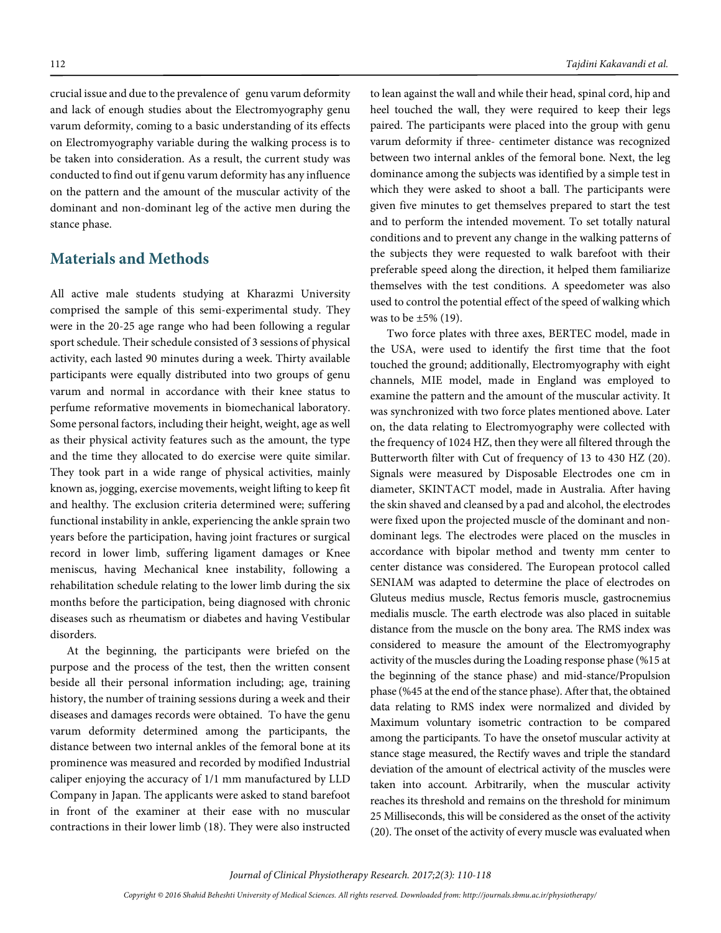crucial issue and due to the prevalence of genu varum deformity and lack of enough studies about the Electromyography genu varum deformity, coming to a basic understanding of its effects on Electromyography variable during the walking process is to be taken into consideration. As a result, the current study was conducted to find out if genu varum deformity has any influence on the pattern and the amount of the muscular activity of the dominant and non-dominant leg of the active men during the stance phase.

### **Materials and Methods**

All active male students studying at Kharazmi University comprised the sample of this semi-experimental study. They were in the 20-25 age range who had been following a regular sport schedule. Their schedule consisted of 3 sessions of physical activity, each lasted 90 minutes during a week. Thirty available participants were equally distributed into two groups of genu varum and normal in accordance with their knee status to perfume reformative movements in biomechanical laboratory. Some personal factors, including their height, weight, age as well as their physical activity features such as the amount, the type and the time they allocated to do exercise were quite similar. They took part in a wide range of physical activities, mainly known as, jogging, exercise movements, weight lifting to keep fit and healthy. The exclusion criteria determined were; suffering functional instability in ankle, experiencing the ankle sprain two years before the participation, having joint fractures or surgical record in lower limb, suffering ligament damages or Knee meniscus, having Mechanical knee instability, following a rehabilitation schedule relating to the lower limb during the six months before the participation, being diagnosed with chronic diseases such as rheumatism or diabetes and having Vestibular disorders.

At the beginning, the participants were briefed on the purpose and the process of the test, then the written consent beside all their personal information including; age, training history, the number of training sessions during a week and their diseases and damages records were obtained. To have the genu varum deformity determined among the participants, the distance between two internal ankles of the femoral bone at its prominence was measured and recorded by modified Industrial caliper enjoying the accuracy of 1/1 mm manufactured by LLD Company in Japan. The applicants were asked to stand barefoot in front of the examiner at their ease with no muscular contractions in their lower limb (18). They were also instructed

to lean against the wall and while their head, spinal cord, hip and heel touched the wall, they were required to keep their legs paired. The participants were placed into the group with genu varum deformity if three- centimeter distance was recognized between two internal ankles of the femoral bone. Next, the leg dominance among the subjects was identified by a simple test in which they were asked to shoot a ball. The participants were given five minutes to get themselves prepared to start the test and to perform the intended movement. To set totally natural conditions and to prevent any change in the walking patterns of the subjects they were requested to walk barefoot with their preferable speed along the direction, it helped them familiarize themselves with the test conditions. A speedometer was also used to control the potential effect of the speed of walking which was to be  $\pm 5\%$  (19).

Two force plates with three axes, BERTEC model, made in the USA, were used to identify the first time that the foot touched the ground; additionally, Electromyography with eight channels, MIE model, made in England was employed to examine the pattern and the amount of the muscular activity. It was synchronized with two force plates mentioned above. Later on, the data relating to Electromyography were collected with the frequency of 1024 HZ, then they were all filtered through the Butterworth filter with Cut of frequency of 13 to 430 HZ (20). Signals were measured by Disposable Electrodes one cm in diameter, SKINTACT model, made in Australia. After having the skin shaved and cleansed by a pad and alcohol, the electrodes were fixed upon the projected muscle of the dominant and nondominant legs. The electrodes were placed on the muscles in accordance with bipolar method and twenty mm center to center distance was considered. The European protocol called SENIAM was adapted to determine the place of electrodes on Gluteus medius muscle, Rectus femoris muscle, gastrocnemius medialis muscle. The earth electrode was also placed in suitable distance from the muscle on the bony area. The RMS index was considered to measure the amount of the Electromyography activity of the muscles during the Loading response phase (%15 at the beginning of the stance phase) and mid-stance/Propulsion phase (%45 at the end of the stance phase). After that, the obtained data relating to RMS index were normalized and divided by Maximum voluntary isometric contraction to be compared among the participants. To have the onsetof muscular activity at stance stage measured, the Rectify waves and triple the standard deviation of the amount of electrical activity of the muscles were taken into account. Arbitrarily, when the muscular activity reaches its threshold and remains on the threshold for minimum 25 Milliseconds, this will be considered as the onset of the activity (20). The onset of the activity of every muscle was evaluated when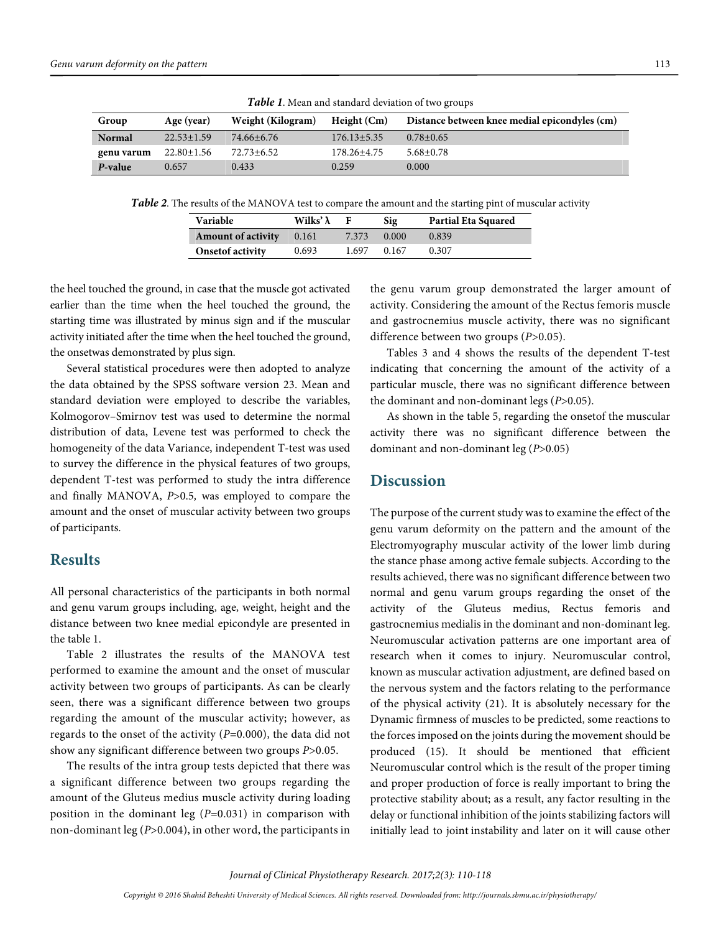|               | <b>Tuble 1.</b> Mean and standard deviation of two groups |                   |                   |                                               |  |  |
|---------------|-----------------------------------------------------------|-------------------|-------------------|-----------------------------------------------|--|--|
| Group         | Age (year)                                                | Weight (Kilogram) | Height $(Cm)$     | Distance between knee medial epicondyles (cm) |  |  |
| <b>Normal</b> | $22.53 \pm 1.59$                                          | 74.66±6.76        | $176.13 \pm 5.35$ | $0.78 \pm 0.65$                               |  |  |
| genu varum    | $22.80 \pm 1.56$                                          | 72.73±6.52        | 178.26±4.75       | $5.68 \pm 0.78$                               |  |  |
| P-value       | 0.657                                                     | 0.433             | 0.259             | 0.000                                         |  |  |

**Table 1**. Mean and standard deviation of two groups

**Table 2**. The results of the MANOVA test to compare the amount and the starting pint of muscular activity

| <b>Variable</b>           | Wilks' $\lambda$ |       | Sig   | <b>Partial Eta Squared</b> |  |  |  |
|---------------------------|------------------|-------|-------|----------------------------|--|--|--|
| <b>Amount of activity</b> | 0.161            | 7.373 | 0.000 | 0.839                      |  |  |  |
| Onsetof activity          | 0.693            | 1.697 | 0.167 | 0.307                      |  |  |  |

the heel touched the ground, in case that the muscle got activated earlier than the time when the heel touched the ground, the starting time was illustrated by minus sign and if the muscular activity initiated after the time when the heel touched the ground, the onsetwas demonstrated by plus sign.

Several statistical procedures were then adopted to analyze the data obtained by the SPSS software version 23. Mean and standard deviation were employed to describe the variables, Kolmogorov–Smirnov test was used to determine the normal distribution of data, Levene test was performed to check the homogeneity of the data Variance, independent T-test was used to survey the difference in the physical features of two groups, dependent T-test was performed to study the intra difference and finally MANOVA, P>0.5, was employed to compare the amount and the onset of muscular activity between two groups of participants.

### **Results**

All personal characteristics of the participants in both normal and genu varum groups including, age, weight, height and the distance between two knee medial epicondyle are presented in the table 1.

Table 2 illustrates the results of the MANOVA test performed to examine the amount and the onset of muscular activity between two groups of participants. As can be clearly seen, there was a significant difference between two groups regarding the amount of the muscular activity; however, as regards to the onset of the activity  $(P=0.000)$ , the data did not show any significant difference between two groups P>0.05.

The results of the intra group tests depicted that there was a significant difference between two groups regarding the amount of the Gluteus medius muscle activity during loading position in the dominant leg  $(P=0.031)$  in comparison with non-dominant leg (P>0.004), in other word, the participants in

the genu varum group demonstrated the larger amount of activity. Considering the amount of the Rectus femoris muscle and gastrocnemius muscle activity, there was no significant difference between two groups (P>0.05).

Tables 3 and 4 shows the results of the dependent T-test indicating that concerning the amount of the activity of a particular muscle, there was no significant difference between the dominant and non-dominant legs  $(P>0.05)$ .

As shown in the table 5, regarding the onsetof the muscular activity there was no significant difference between the dominant and non-dominant leg (P>0.05)

### **Discussion**

The purpose of the current study was to examine the effect of the genu varum deformity on the pattern and the amount of the Electromyography muscular activity of the lower limb during the stance phase among active female subjects. According to the results achieved, there was no significant difference between two normal and genu varum groups regarding the onset of the activity of the Gluteus medius, Rectus femoris and gastrocnemius medialis in the dominant and non-dominant leg. Neuromuscular activation patterns are one important area of research when it comes to injury. Neuromuscular control, known as muscular activation adjustment, are defined based on the nervous system and the factors relating to the performance of the physical activity (21). It is absolutely necessary for the Dynamic firmness of muscles to be predicted, some reactions to the forces imposed on the joints during the movement should be produced (15). It should be mentioned that efficient Neuromuscular control which is the result of the proper timing and proper production of force is really important to bring the protective stability about; as a result, any factor resulting in the delay or functional inhibition of the joints stabilizing factors will initially lead to joint instability and later on it will cause other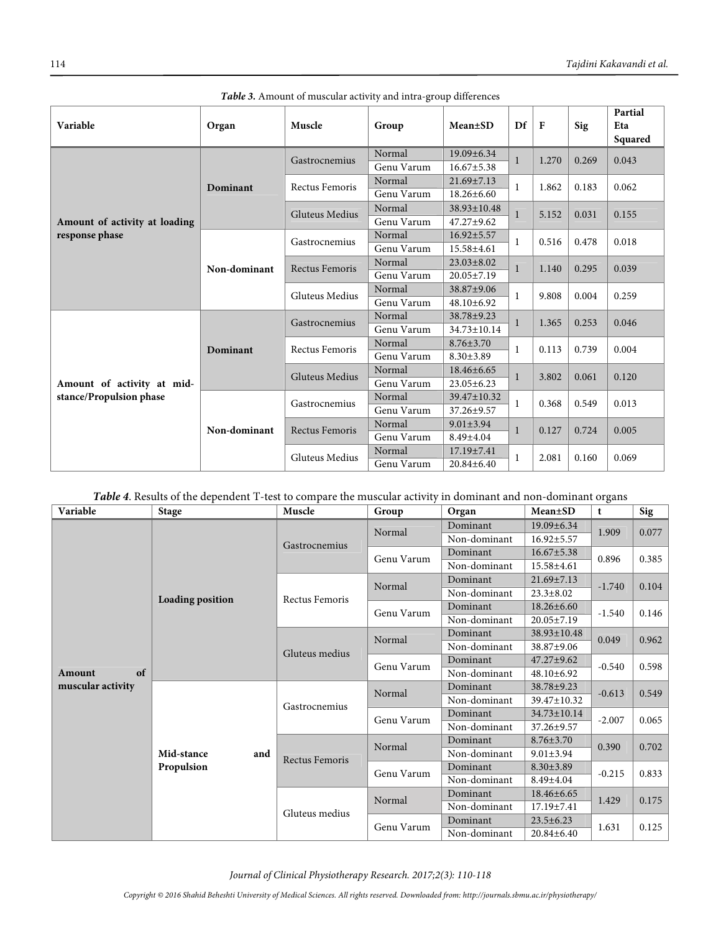| Variable                      | Organ        | Muscle                | Group      | Mean±SD           | Df                     | $\mathbf{F}$   | <b>Sig</b>     | Partial<br>Eta<br>Squared |
|-------------------------------|--------------|-----------------------|------------|-------------------|------------------------|----------------|----------------|---------------------------|
|                               | Dominant     | Gastrocnemius         | Normal     | 19.09±6.34        | $\mathbf{1}$           | 1.270          | 0.269          | 0.043                     |
|                               |              |                       | Genu Varum | $16.67 \pm 5.38$  |                        |                |                |                           |
|                               |              | Rectus Femoris        | Normal     | $21.69 \pm 7.13$  | $\mathbf{1}$           | 1.862          | 0.183          | 0.062                     |
|                               |              |                       | Genu Varum | $18.26 \pm 6.60$  |                        |                |                |                           |
|                               |              | Gluteus Medius        | Normal     | $38.93 \pm 10.48$ | 1                      | 5.152          | 0.031          | 0.155                     |
| Amount of activity at loading |              |                       | Genu Varum | $47.27 + 9.62$    |                        |                |                |                           |
| response phase                | Non-dominant | Gastrocnemius         | Normal     | $16.92 \pm 5.57$  | 1<br>$\mathbf{1}$      | 0.516          | 0.478          | 0.018                     |
|                               |              |                       | Genu Varum | $15.58 \pm 4.61$  |                        |                |                |                           |
|                               |              | <b>Rectus Femoris</b> | Normal     | $23.03 \pm 8.02$  |                        | 1.140          | 0.295          | 0.039                     |
|                               |              |                       | Genu Varum | $20.05 \pm 7.19$  |                        |                |                |                           |
|                               |              | Gluteus Medius        | Normal     | 38.87±9.06        | 1                      | 9.808          | 0.004          | 0.259                     |
|                               |              |                       | Genu Varum | $48.10 \pm 6.92$  |                        |                |                |                           |
|                               | Dominant     | Gastrocnemius         | Normal     | $38.78 + 9.23$    | $\mathbf{1}$           | 1.365          | 0.253          | 0.046                     |
|                               |              |                       | Genu Varum | 34.73±10.14       |                        |                |                |                           |
|                               |              | Rectus Femoris        | Normal     | $8.76 \pm 3.70$   | 1<br>$\mathbf{1}$<br>1 | 0.113          | 0.739          | 0.004                     |
|                               |              |                       | Genu Varum | $8.30 \pm 3.89$   |                        |                |                |                           |
|                               |              | Gluteus Medius        | Normal     | $18.46 \pm 6.65$  |                        | 3.802<br>0.368 | 0.061<br>0.549 | 0.120<br>0.013            |
| Amount of activity at mid-    |              |                       | Genu Varum | $23.05 \pm 6.23$  |                        |                |                |                           |
| stance/Propulsion phase       | Non-dominant | Gastrocnemius         | Normal     | 39.47±10.32       |                        |                |                |                           |
|                               |              |                       | Genu Varum | 37.26±9.57        |                        |                |                |                           |
|                               |              | Rectus Femoris        | Normal     | $9.01 \pm 3.94$   | $\mathbf{1}$           | 0.127          | 0.724          | 0.005                     |
|                               |              |                       | Genu Varum | 8.49±4.04         |                        |                |                |                           |
|                               |              | Gluteus Medius        | Normal     | 17.19±7.41        | 1                      | 2.081          | 0.160          | 0.069                     |
|                               |              |                       | Genu Varum | 20.84±6.40        |                        |                |                |                           |

| Table 3. Amount of muscular activity and intra-group differences |  |
|------------------------------------------------------------------|--|
|------------------------------------------------------------------|--|

### **Table 4**. Results of the dependent T-test to compare the muscular activity in dominant and non-dominant organs

| Variable          | <b>Stage</b>            | Muscle                | Group      | Organ        | Mean±SD           | t        | Sig   |
|-------------------|-------------------------|-----------------------|------------|--------------|-------------------|----------|-------|
|                   |                         |                       | Normal     | Dominant     | $19.09 \pm 6.34$  | 1.909    | 0.077 |
|                   |                         | Gastrocnemius         |            | Non-dominant | $16.92 \pm 5.57$  |          |       |
|                   |                         |                       | Genu Varum | Dominant     | $16.67 \pm 5.38$  | 0.896    | 0.385 |
|                   |                         |                       |            | Non-dominant | 15.58±4.61        |          |       |
|                   |                         |                       | Normal     | Dominant     | $21.69 \pm 7.13$  | $-1.740$ | 0.104 |
|                   | <b>Loading position</b> | Rectus Femoris        |            | Non-dominant | $23.3 \pm 8.02$   |          |       |
|                   |                         |                       | Genu Varum | Dominant     | $18.26 \pm 6.60$  | $-1.540$ | 0.146 |
|                   |                         |                       |            | Non-dominant | $20.05 \pm 7.19$  |          |       |
|                   |                         |                       | Normal     | Dominant     | 38.93±10.48       | 0.049    | 0.962 |
|                   |                         | Gluteus medius        |            | Non-dominant | 38.87±9.06        |          |       |
|                   |                         |                       | Genu Varum | Dominant     | $47.27 \pm 9.62$  | $-0.540$ | 0.598 |
| of<br>Amount      |                         |                       |            | Non-dominant | 48.10±6.92        |          |       |
| muscular activity |                         |                       | Normal     | Dominant     | 38.78±9.23        | $-0.613$ | 0.549 |
|                   |                         | Gastrocnemius         |            | Non-dominant | 39.47±10.32       |          |       |
|                   |                         |                       | Genu Varum | Dominant     | $34.73 \pm 10.14$ | $-2.007$ | 0.065 |
|                   |                         |                       |            | Non-dominant | 37.26±9.57        |          |       |
|                   |                         |                       | Normal     | Dominant     | $8.76 \pm 3.70$   | 0.390    | 0.702 |
|                   | Mid-stance              | and<br>Rectus Femoris |            | Non-dominant | $9.01 \pm 3.94$   |          |       |
|                   | Propulsion              |                       | Genu Varum | Dominant     | $8.30 \pm 3.89$   | $-0.215$ | 0.833 |
|                   |                         |                       |            | Non-dominant | $8.49{\pm}4.04$   |          |       |
|                   |                         |                       | Normal     | Dominant     | $18.46 \pm 6.65$  | 1.429    | 0.175 |
|                   |                         | Gluteus medius        |            | Non-dominant | $17.19 \pm 7.41$  |          |       |
|                   |                         |                       | Genu Varum | Dominant     | $23.5 \pm 6.23$   | 1.631    | 0.125 |
|                   |                         |                       |            | Non-dominant | $20.84 \pm 6.40$  |          |       |

Journal of Clinical Physiotherapy Research. 2017;2(3): 110-118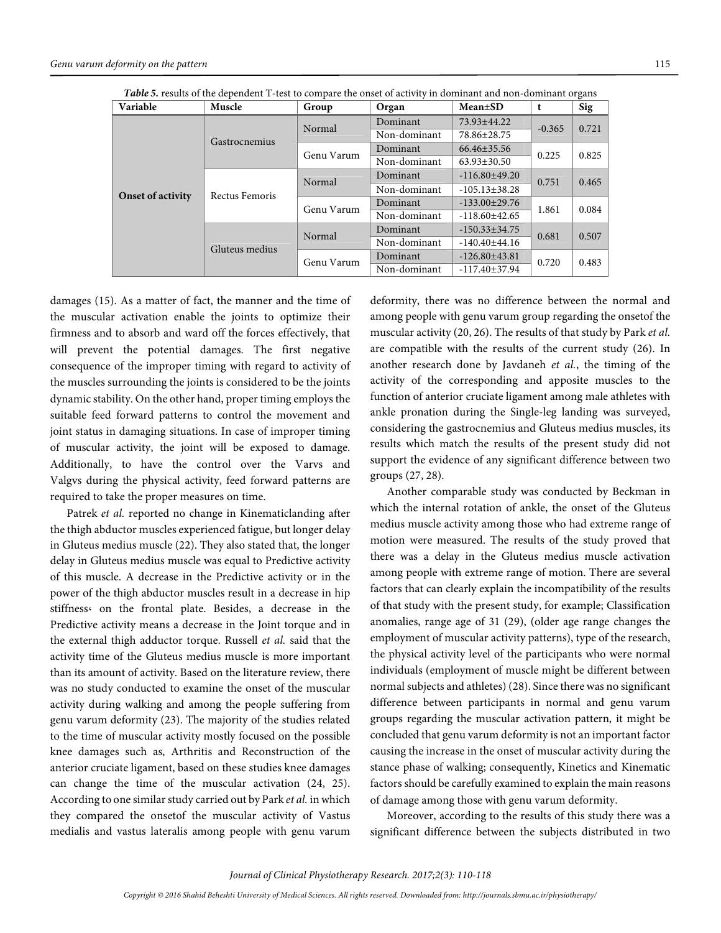$O<sub>I</sub>$ 

| <b>Table 5.</b> results of the dependent 1-test to compare the onset of activity in dominant and non-dominant organs |                |            |              |                     |          |       |  |  |  |
|----------------------------------------------------------------------------------------------------------------------|----------------|------------|--------------|---------------------|----------|-------|--|--|--|
| Variable                                                                                                             | Muscle         | Group      | Organ        | <b>Mean</b> ±SD     |          | Sig   |  |  |  |
|                                                                                                                      |                | Normal     | Dominant     | 73.93±44.22         | $-0.365$ | 0.721 |  |  |  |
|                                                                                                                      | Gastrocnemius  |            | Non-dominant | 78.86±28.75         |          |       |  |  |  |
|                                                                                                                      |                | Genu Varum | Dominant     | $66.46 \pm 35.56$   | 0.225    | 0.825 |  |  |  |
|                                                                                                                      |                |            | Non-dominant | $63.93 \pm 30.50$   |          |       |  |  |  |
|                                                                                                                      | Rectus Femoris | Normal     | Dominant     | $-116.80\pm 49.20$  | 0.751    | 0.465 |  |  |  |
| <b>Onset of activity</b>                                                                                             |                |            | Non-dominant | $-105.13 \pm 38.28$ |          |       |  |  |  |
|                                                                                                                      |                | Genu Varum | Dominant     | $-133.00 \pm 29.76$ | 1.861    | 0.084 |  |  |  |
|                                                                                                                      |                |            | Non-dominant | $-118.60 \pm 42.65$ |          |       |  |  |  |
|                                                                                                                      |                | Normal     | Dominant     | $-150.33 \pm 34.75$ | 0.681    | 0.507 |  |  |  |
|                                                                                                                      | Gluteus medius |            | Non-dominant | $-140.40\pm44.16$   |          |       |  |  |  |
|                                                                                                                      |                | Genu Varum | Dominant     | $-126.80\pm 43.81$  | 0.720    | 0.483 |  |  |  |
|                                                                                                                      |                |            | Non-dominant | $-117.40 \pm 37.94$ |          |       |  |  |  |

**Table 5.** results of the dependent T-test to compare the onset of activity in dominant and non-dominant organs

damages (15). As a matter of fact, the manner and the time of the muscular activation enable the joints to optimize their firmness and to absorb and ward off the forces effectively, that will prevent the potential damages. The first negative consequence of the improper timing with regard to activity of the muscles surrounding the joints is considered to be the joints dynamic stability. On the other hand, proper timing employs the suitable feed forward patterns to control the movement and joint status in damaging situations. In case of improper timing of muscular activity, the joint will be exposed to damage. Additionally, to have the control over the Varvs and Valgvs during the physical activity, feed forward patterns are required to take the proper measures on time.

Patrek et al. reported no change in Kinematiclanding after the thigh abductor muscles experienced fatigue, but longer delay in Gluteus medius muscle (22). They also stated that, the longer delay in Gluteus medius muscle was equal to Predictive activity of this muscle. A decrease in the Predictive activity or in the power of the thigh abductor muscles result in a decrease in hip stiffness، on the frontal plate. Besides, a decrease in the Predictive activity means a decrease in the Joint torque and in the external thigh adductor torque. Russell et al. said that the activity time of the Gluteus medius muscle is more important than its amount of activity. Based on the literature review, there was no study conducted to examine the onset of the muscular activity during walking and among the people suffering from genu varum deformity (23). The majority of the studies related to the time of muscular activity mostly focused on the possible knee damages such as, Arthritis and Reconstruction of the anterior cruciate ligament, based on these studies knee damages can change the time of the muscular activation (24, 25). According to one similar study carried out by Park et al. in which they compared the onsetof the muscular activity of Vastus medialis and vastus lateralis among people with genu varum

deformity, there was no difference between the normal and among people with genu varum group regarding the onsetof the muscular activity (20, 26). The results of that study by Park et al. are compatible with the results of the current study (26). In another research done by Javdaneh et al., the timing of the activity of the corresponding and apposite muscles to the function of anterior cruciate ligament among male athletes with ankle pronation during the Single-leg landing was surveyed, considering the gastrocnemius and Gluteus medius muscles, its results which match the results of the present study did not support the evidence of any significant difference between two groups (27, 28).

Another comparable study was conducted by Beckman in which the internal rotation of ankle, the onset of the Gluteus medius muscle activity among those who had extreme range of motion were measured. The results of the study proved that there was a delay in the Gluteus medius muscle activation among people with extreme range of motion. There are several factors that can clearly explain the incompatibility of the results of that study with the present study, for example; Classification anomalies, range age of 31 (29), (older age range changes the employment of muscular activity patterns), type of the research, the physical activity level of the participants who were normal individuals (employment of muscle might be different between normal subjects and athletes) (28). Since there was no significant difference between participants in normal and genu varum groups regarding the muscular activation pattern, it might be concluded that genu varum deformity is not an important factor causing the increase in the onset of muscular activity during the stance phase of walking; consequently, Kinetics and Kinematic factors should be carefully examined to explain the main reasons of damage among those with genu varum deformity.

Moreover, according to the results of this study there was a significant difference between the subjects distributed in two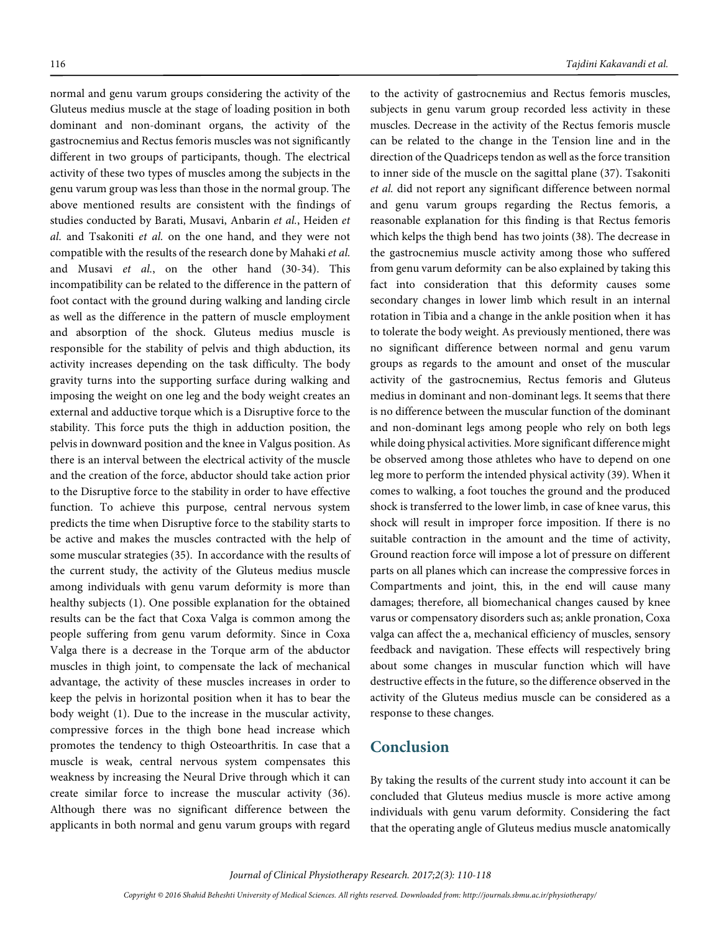normal and genu varum groups considering the activity of the Gluteus medius muscle at the stage of loading position in both dominant and non-dominant organs, the activity of the gastrocnemius and Rectus femoris muscles was not significantly different in two groups of participants, though. The electrical activity of these two types of muscles among the subjects in the genu varum group was less than those in the normal group. The above mentioned results are consistent with the findings of studies conducted by Barati, Musavi, Anbarin et al., Heiden et al. and Tsakoniti et al. on the one hand, and they were not compatible with the results of the research done by Mahaki et al. and Musavi et al., on the other hand (30-34). This incompatibility can be related to the difference in the pattern of foot contact with the ground during walking and landing circle as well as the difference in the pattern of muscle employment and absorption of the shock. Gluteus medius muscle is responsible for the stability of pelvis and thigh abduction, its activity increases depending on the task difficulty. The body gravity turns into the supporting surface during walking and imposing the weight on one leg and the body weight creates an external and adductive torque which is a Disruptive force to the stability. This force puts the thigh in adduction position, the pelvis in downward position and the knee in Valgus position. As there is an interval between the electrical activity of the muscle and the creation of the force, abductor should take action prior to the Disruptive force to the stability in order to have effective function. To achieve this purpose, central nervous system predicts the time when Disruptive force to the stability starts to be active and makes the muscles contracted with the help of some muscular strategies (35). In accordance with the results of the current study, the activity of the Gluteus medius muscle among individuals with genu varum deformity is more than healthy subjects (1). One possible explanation for the obtained results can be the fact that Coxa Valga is common among the people suffering from genu varum deformity. Since in Coxa Valga there is a decrease in the Torque arm of the abductor muscles in thigh joint, to compensate the lack of mechanical advantage, the activity of these muscles increases in order to keep the pelvis in horizontal position when it has to bear the body weight (1). Due to the increase in the muscular activity, compressive forces in the thigh bone head increase which promotes the tendency to thigh Osteoarthritis. In case that a muscle is weak, central nervous system compensates this weakness by increasing the Neural Drive through which it can create similar force to increase the muscular activity (36). Although there was no significant difference between the applicants in both normal and genu varum groups with regard

to the activity of gastrocnemius and Rectus femoris muscles, subjects in genu varum group recorded less activity in these muscles. Decrease in the activity of the Rectus femoris muscle can be related to the change in the Tension line and in the direction of the Quadriceps tendon as well as the force transition to inner side of the muscle on the sagittal plane (37). Tsakoniti et al. did not report any significant difference between normal and genu varum groups regarding the Rectus femoris, a reasonable explanation for this finding is that Rectus femoris which kelps the thigh bend has two joints (38). The decrease in the gastrocnemius muscle activity among those who suffered from genu varum deformity can be also explained by taking this fact into consideration that this deformity causes some secondary changes in lower limb which result in an internal rotation in Tibia and a change in the ankle position when it has to tolerate the body weight. As previously mentioned, there was no significant difference between normal and genu varum groups as regards to the amount and onset of the muscular activity of the gastrocnemius, Rectus femoris and Gluteus medius in dominant and non-dominant legs. It seems that there is no difference between the muscular function of the dominant and non-dominant legs among people who rely on both legs while doing physical activities. More significant difference might be observed among those athletes who have to depend on one leg more to perform the intended physical activity (39). When it comes to walking, a foot touches the ground and the produced shock is transferred to the lower limb, in case of knee varus, this shock will result in improper force imposition. If there is no suitable contraction in the amount and the time of activity, Ground reaction force will impose a lot of pressure on different parts on all planes which can increase the compressive forces in Compartments and joint, this, in the end will cause many damages; therefore, all biomechanical changes caused by knee varus or compensatory disorders such as; ankle pronation, Coxa valga can affect the a, mechanical efficiency of muscles, sensory feedback and navigation. These effects will respectively bring about some changes in muscular function which will have destructive effects in the future, so the difference observed in the activity of the Gluteus medius muscle can be considered as a response to these changes.

### **Conclusion**

By taking the results of the current study into account it can be concluded that Gluteus medius muscle is more active among individuals with genu varum deformity. Considering the fact that the operating angle of Gluteus medius muscle anatomically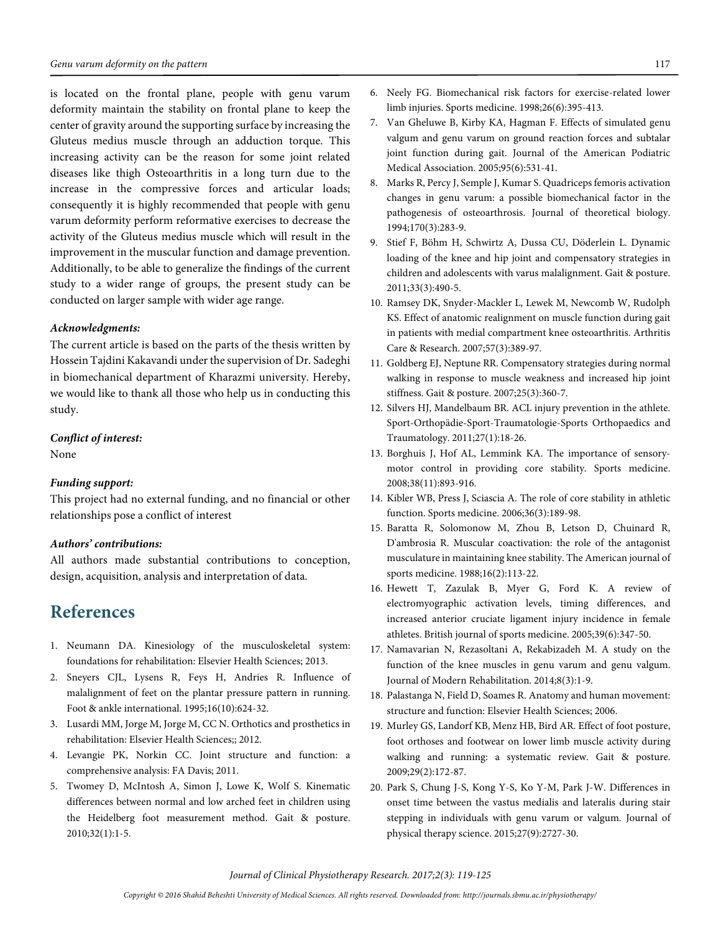is located on the frontal plane, people with genu varum deformity maintain the stability on frontal plane to keep the center of gravity around the supporting surface by increasing the Gluteus medius muscle through an adduction torque. This increasing activity can be the reason for some joint related diseases like thigh Osteoarthritis in a long turn due to the increase in the compressive forces and articular loads; consequently it is highly recommended that people with genu varum deformity perform reformative exercises to decrease the activity of the Gluteus medius muscle which will result in the improvement in the muscular function and damage prevention. Additionally, to be able to generalize the findings of the current study to a wider range of groups, the present study can be conducted on larger sample with wider age range.

#### **Acknowledgments:**

The current article is based on the parts of the thesis written by Hossein Tajdini Kakavandi under the supervision of Dr. Sadeghi in biomechanical department of Kharazmi university. Hereby, we would like to thank all those who help us in conducting this study.

#### **Conflict of interest:**

None

#### **Funding support:**

This project had no external funding, and no financial or other relationships pose a conflict of interest

#### **Authors' contributions:**

All authors made substantial contributions to conception, design, acquisition, analysis and interpretation of data.

# **References**

- 1. Neumann DA. Kinesiology of the musculoskeletal system: foundations for rehabilitation: Elsevier Health Sciences; 2013.
- 2. Sneyers CJL, Lysens R, Feys H, Andries R. Influence of malalignment of feet on the plantar pressure pattern in running. Foot & ankle international. 1995;16(10):624-32.
- 3. Lusardi MM, Jorge M, Jorge M, CC N. Orthotics and prosthetics in rehabilitation: Elsevier Health Sciences;; 2012.
- 4. Levangie PK, Norkin CC. Joint structure and function: a comprehensive analysis: FA Davis; 2011.
- 5. Twomey D, McIntosh A, Simon J, Lowe K, Wolf S. Kinematic differences between normal and low arched feet in children using the Heidelberg foot measurement method. Gait & posture. 2010;32(1):1-5.
- 6. Neely FG. Biomechanical risk factors for exercise-related lower limb injuries. Sports medicine. 1998;26(6):395-413.
- 7. Van Gheluwe B, Kirby KA, Hagman F. Effects of simulated genu valgum and genu varum on ground reaction forces and subtalar joint function during gait. Journal of the American Podiatric Medical Association. 2005;95(6):531-41.
- 8. Marks R, Percy J, Semple J, Kumar S. Quadriceps femoris activation changes in genu varum: a possible biomechanical factor in the pathogenesis of osteoarthrosis. Journal of theoretical biology. 1994;170(3):283-9.
- 9. Stief F, Böhm H, Schwirtz A, Dussa CU, Döderlein L. Dynamic loading of the knee and hip joint and compensatory strategies in children and adolescents with varus malalignment. Gait & posture. 2011;33(3):490-5.
- 10. Ramsey DK, Snyder‐Mackler L, Lewek M, Newcomb W, Rudolph KS. Effect of anatomic realignment on muscle function during gait in patients with medial compartment knee osteoarthritis. Arthritis Care & Research. 2007;57(3):389-97.
- 11. Goldberg EJ, Neptune RR. Compensatory strategies during normal walking in response to muscle weakness and increased hip joint stiffness. Gait & posture. 2007;25(3):360-7.
- 12. Silvers HJ, Mandelbaum BR. ACL injury prevention in the athlete. Sport-Orthopädie-Sport-Traumatologie-Sports Orthopaedics and Traumatology. 2011;27(1):18-26.
- 13. Borghuis J, Hof AL, Lemmink KA. The importance of sensorymotor control in providing core stability. Sports medicine. 2008;38(11):893-916.
- 14. Kibler WB, Press J, Sciascia A. The role of core stability in athletic function. Sports medicine. 2006;36(3):189-98.
- 15. Baratta R, Solomonow M, Zhou B, Letson D, Chuinard R, D'ambrosia R. Muscular coactivation: the role of the antagonist musculature in maintaining knee stability. The American journal of sports medicine. 1988;16(2):113-22.
- 16. Hewett T, Zazulak B, Myer G, Ford K. A review of electromyographic activation levels, timing differences, and increased anterior cruciate ligament injury incidence in female athletes. British journal of sports medicine. 2005;39(6):347-50.
- 17. Namavarian N, Rezasoltani A, Rekabizadeh M. A study on the function of the knee muscles in genu varum and genu valgum. Journal of Modern Rehabilitation. 2014;8(3):1-9.
- 18. Palastanga N, Field D, Soames R. Anatomy and human movement: structure and function: Elsevier Health Sciences; 2006.
- 19. Murley GS, Landorf KB, Menz HB, Bird AR. Effect of foot posture, foot orthoses and footwear on lower limb muscle activity during walking and running: a systematic review. Gait & posture. 2009;29(2):172-87.
- 20. Park S, Chung J-S, Kong Y-S, Ko Y-M, Park J-W. Differences in onset time between the vastus medialis and lateralis during stair stepping in individuals with genu varum or valgum. Journal of physical therapy science. 2015;27(9):2727-30.